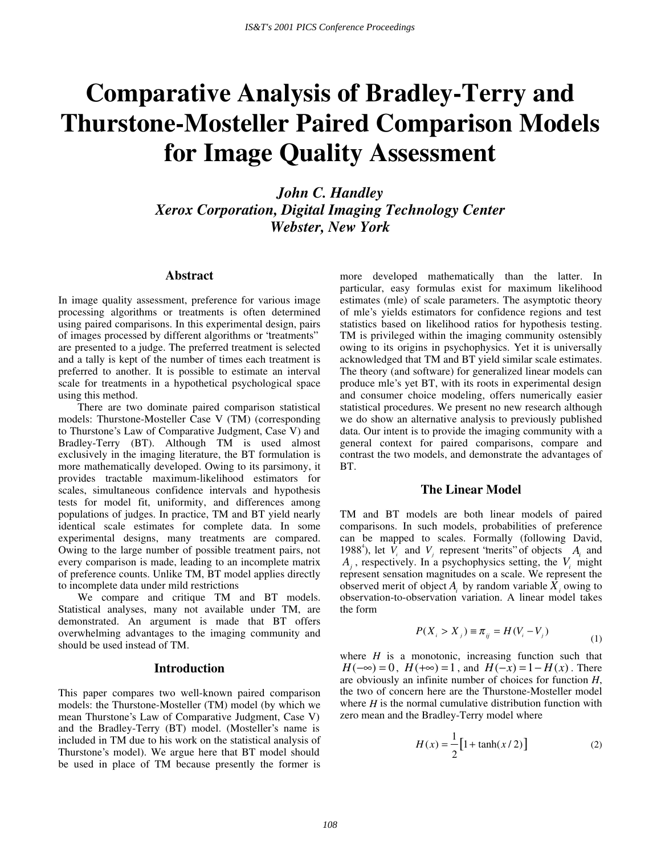# **Comparative Analysis of Bradley-Terry and Thurstone-Mosteller Paired Comparison Models for Image Quality Assessment**

*John C. Handley Xerox Corporation, Digital Imaging Technology Center Webster, New York* 

## **Abstract**

In image quality assessment, preference for various image processing algorithms or treatments is often determined using paired comparisons. In this experimental design, pairs of images processed by different algorithms or "treatments" are presented to a judge. The preferred treatment is selected and a tally is kept of the number of times each treatment is preferred to another. It is possible to estimate an interval scale for treatments in a hypothetical psychological space using this method.

There are two dominate paired comparison statistical models: Thurstone-Mosteller Case V (TM) (corresponding to Thurstone's Law of Comparative Judgment, Case V) and Bradley-Terry (BT). Although TM is used almost exclusively in the imaging literature, the BT formulation is more mathematically developed. Owing to its parsimony, it provides tractable maximum-likelihood estimators for scales, simultaneous confidence intervals and hypothesis tests for model fit, uniformity, and differences among populations of judges. In practice, TM and BT yield nearly identical scale estimates for complete data. In some experimental designs, many treatments are compared. Owing to the large number of possible treatment pairs, not every comparison is made, leading to an incomplete matrix of preference counts. Unlike TM, BT model applies directly to incomplete data under mild restrictions

We compare and critique TM and BT models. Statistical analyses, many not available under TM, are demonstrated. An argument is made that BT offers overwhelming advantages to the imaging community and should be used instead of TM.

#### **Introduction**

This paper compares two well-known paired comparison models: the Thurstone-Mosteller (TM) model (by which we mean Thurstone's Law of Comparative Judgment, Case V) and the Bradley-Terry (BT) model. (Mosteller's name is included in TM due to his work on the statistical analysis of Thurstone's model). We argue here that BT model should be used in place of TM because presently the former is more developed mathematically than the latter. In particular, easy formulas exist for maximum likelihood estimates (mle) of scale parameters. The asymptotic theory of mle's yields estimators for confidence regions and test statistics based on likelihood ratios for hypothesis testing. TM is privileged within the imaging community ostensibly owing to its origins in psychophysics. Yet it is universally acknowledged that TM and BT yield similar scale estimates. The theory (and software) for generalized linear models can produce mle's yet BT, with its roots in experimental design and consumer choice modeling, offers numerically easier statistical procedures. We present no new research although we do show an alternative analysis to previously published data. Our intent is to provide the imaging community with a general context for paired comparisons, compare and contrast the two models, and demonstrate the advantages of BT.

#### **The Linear Model**

TM and BT models are both linear models of paired comparisons. In such models, probabilities of preference can be mapped to scales. Formally (following David, 1988<sup>4</sup>), let  $\overline{V_i}$  and  $\overline{V_j}$  represent 'merits' of objects  $A_i$  and  $A_i$ , respectively. In a psychophysics setting, the  $V_i$  might represent sensation magnitudes on a scale. We represent the observed merit of object  $A_i$  by random variable  $X_i$  owing to observation-to-observation variation. A linear model takes the form

$$
P(X_i > X_j) \equiv \pi_{ij} = H(V_i - V_j)
$$
\n<sup>(1)</sup>

where  $H$  is a monotonic, increasing function such that  $H(-\infty) = 0$ ,  $H(+\infty) = 1$ , and  $H(-x) = 1 - H(x)$ . There are obviously an infinite number of choices for function *H*, the two of concern here are the Thurstone-Mosteller model where *H* is the normal cumulative distribution function with zero mean and the Bradley-Terry model where

$$
H(x) = \frac{1}{2} [1 + \tanh(x/2)]
$$
 (2)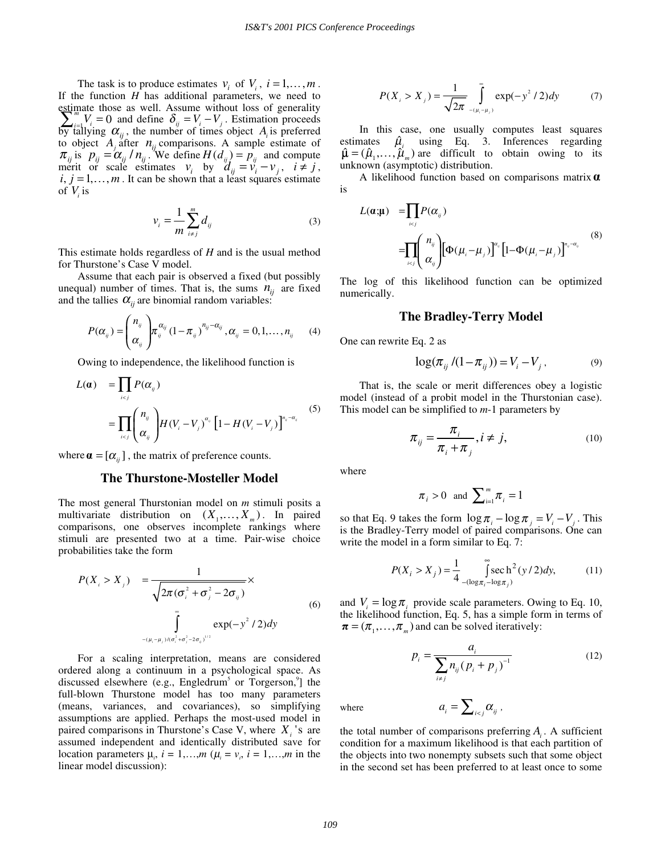The task is to produce estimates  $v_i$  of  $V_i$ ,  $i = 1, ..., m$ . If the function *H* has additional parameters, we need to estimate those as well. Assume without loss of generality  $\sum_{i=1}^{m} V_i = 0$  and define  $\delta_{ij} = V_i - V_j$ . Estimation proceeds by tallying  $\alpha_{ij}$ , the number of times object  $A_i$  is preferred to object  $A_j$  after  $n_{ij}$  comparisons. A sample estimate of  $\pi_{ij}$  is  $p_{ij} = \alpha_{ij} / n_{ij}$ . We define  $H(d_{ij}) = p_{ij}$  and compute merit or scale estimates  $v_i$  by  $d_{ij} = v_i - v_j$ ,  $i \neq j$ ,  $i, j = 1, \ldots, m$ . It can be shown that a least squares estimate of  $V_i$  is

$$
v_i = \frac{1}{m} \sum_{i \neq j}^{m} d_{ij} \tag{3}
$$

This estimate holds regardless of *H* and is the usual method for Thurstone's Case V model.

Assume that each pair is observed a fixed (but possibly unequal) number of times. That is, the sums  $n_{ij}$  are fixed and the tallies  $\alpha_{ii}$  are binomial random variables:

$$
P(\alpha_{ij}) = \begin{pmatrix} n_{ij} \\ \alpha_{ij} \end{pmatrix} \pi_{ij}^{\alpha_{ij}} (1 - \pi_{ij})^{n_{ij} - \alpha_{ij}}, \alpha_{ij} = 0, 1, \dots, n_{ij} \qquad (4)
$$

Owing to independence, the likelihood function is

$$
L(\alpha) = \prod_{i  
= 
$$
\prod_{i (5)
$$
$$

where  $\mathbf{a} = [\alpha_{ij}]$ , the matrix of preference counts.

#### **The Thurstone-Mosteller Model**

The most general Thurstonian model on *m* stimuli posits a multivariate distribution on  $(X_1, \ldots, X_m)$ . In paired comparisons, one observes incomplete rankings where stimuli are presented two at a time. Pair-wise choice probabilities take the form

$$
P(X_{i} > X_{j}) = \frac{1}{\sqrt{2\pi(\sigma_{i}^{2} + \sigma_{j}^{2} - 2\sigma_{ij})}} \times \int_{-(\mu_{i} - \mu_{j})/(\sigma_{i}^{2} + \sigma_{j}^{2} - 2\sigma_{ij})^{1/2}}^{\infty} \exp(-y^{2}/2) dy
$$
 (6)

For a scaling interpretation, means are considered ordered along a continuum in a psychological space. As discussed elsewhere (e.g., Engledrum<sup>5</sup> or Torgerson,<sup>9</sup>] the full-blown Thurstone model has too many parameters (means, variances, and covariances), so simplifying assumptions are applied. Perhaps the most-used model in paired comparisons in Thurstone's Case V, where  $X_i$ 's are assumed independent and identically distributed save for location parameters  $\mu_i$ ,  $i = 1,...,m$  ( $\mu_i = \nu_i$ ,  $i = 1,...,m$  in the linear model discussion):

$$
P(X_i > X_j) = \frac{1}{\sqrt{2\pi}} \int_{-(\mu_i - \mu_j)}^{\infty} \exp(-y^2 / 2) dy
$$
 (7)

In this case, one usually computes least squares estimates  $\hat{\mu}_i$  using Eq. 3. Inferences regarding  $\hat{\mu} = (\hat{\mu}_1, ..., \hat{\mu}_m)$  are difficult to obtain owing to its unknown (asymptotic) distribution.

A likelihood function based on comparisons matrix  $\alpha$ is

$$
L(\boldsymbol{\alpha};\boldsymbol{\mu}) = \prod_{i  
= 
$$
\prod_{i (8)
$$
$$

The log of this likelihood function can be optimized numerically.

## **The Bradley-Terry Model**

One can rewrite Eq. 2 as

$$
\log(\pi_{ij}/(1-\pi_{ij})) = V_i - V_j, \tag{9}
$$

That is, the scale or merit differences obey a logistic model (instead of a probit model in the Thurstonian case). This model can be simplified to *m*-1 parameters by

$$
\pi_{ij} = \frac{\pi_i}{\pi_i + \pi_j}, i \neq j,
$$
\n(10)

where

$$
\pi_i > 0 \text{ and } \sum_{i=1}^m \pi_i = 1
$$

so that Eq. 9 takes the form  $\log \pi_i - \log \pi_i = V_i - V_i$ . This is the Bradley-Terry model of paired comparisons. One can write the model in a form similar to Eq. 7:

$$
P(X_i > X_j) = \frac{1}{4} \int_{-(\log \pi_i - \log \pi_j)}^{\infty} \sec \frac{h^2(y/2)}{dy},
$$
 (11)

and  $V = \log \pi$ , provide scale parameters. Owing to Eq. 10, the likelihood function, Eq. 5, has a simple form in terms of  $\boldsymbol{\pi} = (\pi_1, \dots, \pi_m)$  and can be solved iteratively:

$$
p_i = \frac{a_i}{\sum_{i \neq j} n_{ij} (p_i + p_j)^{-1}}
$$
(12)

where  $a_i = \sum_{i < j} \alpha_{ij}$ ,

the total number of comparisons preferring *Ai* . A sufficient condition for a maximum likelihood is that each partition of the objects into two nonempty subsets such that some object in the second set has been preferred to at least once to some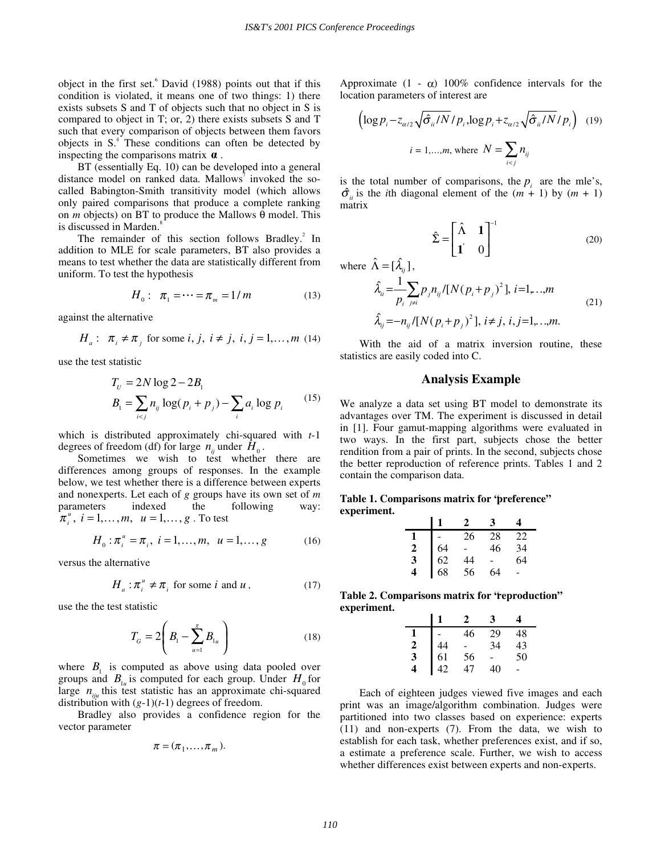object in the first set.<sup>6</sup> David (1988) points out that if this condition is violated, it means one of two things: 1) there exists subsets S and T of objects such that no object in S is compared to object in T; or, 2) there exists subsets S and T such that every comparison of objects between them favors objects in  $S^4$ . These conditions can often be detected by inspecting the comparisons matrix  $\alpha$ .

BT (essentially Eq. 10) can be developed into a general distance model on ranked data. Mallows<sup>7</sup> invoked the socalled Babington-Smith transitivity model (which allows only paired comparisons that produce a complete ranking on *m* objects) on BT to produce the Mallows θ model. This is discussed in Marden.<sup>8</sup>

The remainder of this section follows Bradley.<sup>2</sup> In addition to MLE for scale parameters, BT also provides a means to test whether the data are statistically different from uniform. To test the hypothesis

$$
H_0: \ \pi_1 = \dots = \pi_m = 1/m \tag{13}
$$

against the alternative

$$
H_a: \pi_i \neq \pi_j \text{ for some } i, j, i \neq j, i, j = 1, \dots, m \ (14)
$$

use the test statistic

$$
T_U = 2N \log 2 - 2B_1
$$
  
\n
$$
B_1 = \sum_{i < j} n_{ij} \log (p_i + p_j) - \sum_i a_i \log p_i \tag{15}
$$

which is distributed approximately chi-squared with *t*-1 degrees of freedom (df) for large  $n_{ii}$  under  $H_0$ .

Sometimes we wish to test whether there are differences among groups of responses. In the example below, we test whether there is a difference between experts and nonexperts. Let each of *g* groups have its own set of *m* parameters indexed the following way:  $\pi_i^u$ ,  $i = 1, ..., m$ ,  $u = 1, ..., g$ . To test

$$
H_0: \pi_i^u = \pi_i, \ i = 1, ..., m, \ u = 1, ..., g \tag{16}
$$

versus the alternative

$$
H_a: \pi_i^u \neq \pi_i \text{ for some } i \text{ and } u,
$$
 (17)

use the the test statistic

$$
T_G = 2\left(B_1 - \sum_{u=1}^{g} B_{1u}\right) \tag{18}
$$

where  $B_1$  is computed as above using data pooled over groups and  $B_{1u}$  is computed for each group. Under  $H_0$  for large  $n_{in}$  this test statistic has an approximate chi-squared distribution with  $(g-1)(t-1)$  degrees of freedom.

Bradley also provides a confidence region for the vector parameter

$$
\pi = (\pi_1, \ldots, \pi_m).
$$

Approximate  $(1 - \alpha)$  100% confidence intervals for the location parameters of interest are

$$
\left(\log p_i - z_{\alpha/2} \sqrt{\hat{\sigma}_{ii}/N} / p_i, \log p_i + z_{\alpha/2} \sqrt{\hat{\sigma}_{ii}/N} / p_i\right) \quad (19)
$$
  

$$
i = 1,...,m, \text{ where } N = \sum_{i < j} n_{ij}
$$

is the total number of comparisons, the  $p_i$  are the mle's,  $\hat{\sigma}_n$  is the *i*th diagonal element of the  $(m + 1)$  by  $(m + 1)$ matrix

$$
\hat{\Sigma} = \begin{bmatrix} \hat{\Lambda} & \mathbf{1} \\ \mathbf{1} & 0 \end{bmatrix}^{-1} \tag{20}
$$

where  $\hat{\Lambda} = [\hat{\lambda}_{ii}]$ ,

$$
\hat{\lambda}_{ii} = \frac{1}{p_i} \sum_{j \neq i} p_j n_{ij} / [N (p_i + p_j)^2], \ i = 1, \dots, m
$$
\n
$$
\hat{\lambda}_{ij} = -n_{ij} / [N (p_i + p_j)^2], \ i \neq j, \ i, j = 1, \dots, m.
$$
\n(21)

With the aid of a matrix inversion routine, these statistics are easily coded into C.

## **Analysis Example**

We analyze a data set using BT model to demonstrate its advantages over TM. The experiment is discussed in detail in [1]. Four gamut-mapping algorithms were evaluated in two ways. In the first part, subjects chose the better rendition from a pair of prints. In the second, subjects chose the better reproduction of reference prints. Tables 1 and 2 contain the comparison data.

|             | Table 1. Comparisons matrix for 'preference'' |  |  |
|-------------|-----------------------------------------------|--|--|
| experiment. |                                               |  |  |

|   |    |    | 3  |    |
|---|----|----|----|----|
|   |    | 26 | 28 | 22 |
| 2 | 64 |    | 46 | 34 |
| 3 | 62 | 44 |    | 64 |
| 4 | 68 | 56 | 64 | ۰  |

**Table 2. Comparisons matrix for "reproduction" experiment.** 

|   |    | 46 | 29 | 48 |
|---|----|----|----|----|
| 2 | 44 |    | 34 | 43 |
| 3 | 61 | 56 |    | 50 |
| 4 |    | 47 | 40 |    |

Each of eighteen judges viewed five images and each print was an image/algorithm combination. Judges were partitioned into two classes based on experience: experts (11) and non-experts (7). From the data, we wish to establish for each task, whether preferences exist, and if so, a estimate a preference scale. Further, we wish to access whether differences exist between experts and non-experts.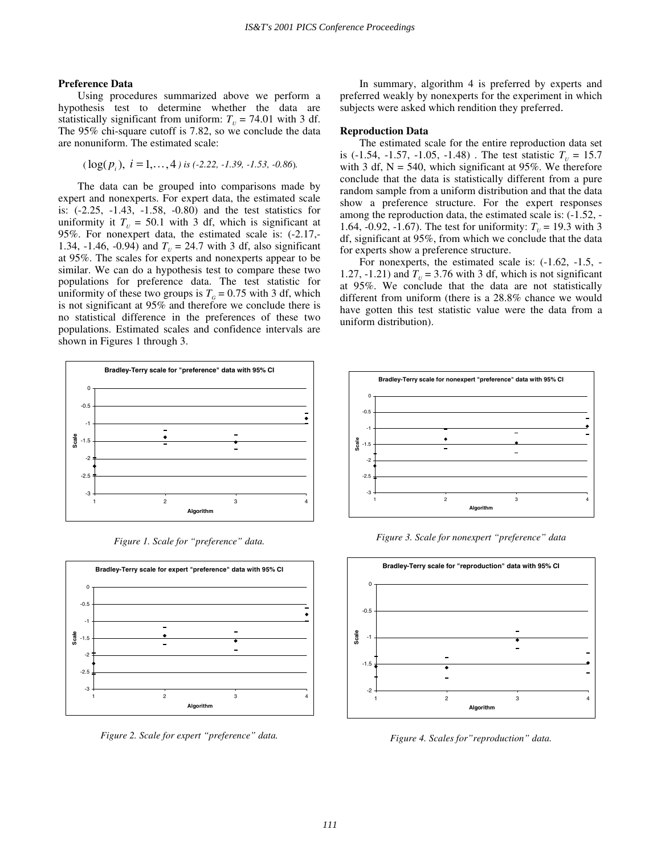#### **Preference Data**

Using procedures summarized above we perform a hypothesis test to determine whether the data are statistically significant from uniform:  $T<sub>U</sub> = 74.01$  with 3 df. The 95% chi-square cutoff is 7.82, so we conclude the data are nonuniform. The estimated scale:

$$
(\log(p_i), i = 1,..., 4)
$$
 is (-2.22, -1.39, -1.53, -0.86).

The data can be grouped into comparisons made by expert and nonexperts. For expert data, the estimated scale is: (-2.25, -1.43, -1.58, -0.80) and the test statistics for uniformity it  $T_{U} = 50.1$  with 3 df, which is significant at 95%. For nonexpert data, the estimated scale is: (-2.17,- 1.34, -1.46, -0.94) and  $T_{\text{U}} = 24.7$  with 3 df, also significant at 95%. The scales for experts and nonexperts appear to be similar. We can do a hypothesis test to compare these two populations for preference data. The test statistic for uniformity of these two groups is  $T<sub>G</sub> = 0.75$  with 3 df, which is not significant at 95% and therefore we conclude there is no statistical difference in the preferences of these two populations. Estimated scales and confidence intervals are shown in Figures 1 through 3.



*Figure 1. Scale for "preference" data.* 



*Figure 2. Scale for expert "preference" data.* 

In summary, algorithm 4 is preferred by experts and preferred weakly by nonexperts for the experiment in which subjects were asked which rendition they preferred.

#### **Reproduction Data**

The estimated scale for the entire reproduction data set is  $(-1.54, -1.57, -1.05, -1.48)$ . The test statistic  $T_{\nu} = 15.7$ with 3 df,  $N = 540$ , which significant at 95%. We therefore conclude that the data is statistically different from a pure random sample from a uniform distribution and that the data show a preference structure. For the expert responses among the reproduction data, the estimated scale is: (-1.52, - 1.64, -0.92, -1.67). The test for uniformity:  $T_{\nu} = 19.3$  with 3 df, significant at 95%, from which we conclude that the data for experts show a preference structure.

For nonexperts, the estimated scale is: (-1.62, -1.5, - 1.27, -1.21) and  $T<sub>U</sub>$  = 3.76 with 3 df, which is not significant at 95%. We conclude that the data are not statistically different from uniform (there is a 28.8% chance we would have gotten this test statistic value were the data from a uniform distribution).



*Figure 3. Scale for nonexpert "preference" data* 



*Figure 4. Scales for"reproduction" data.*